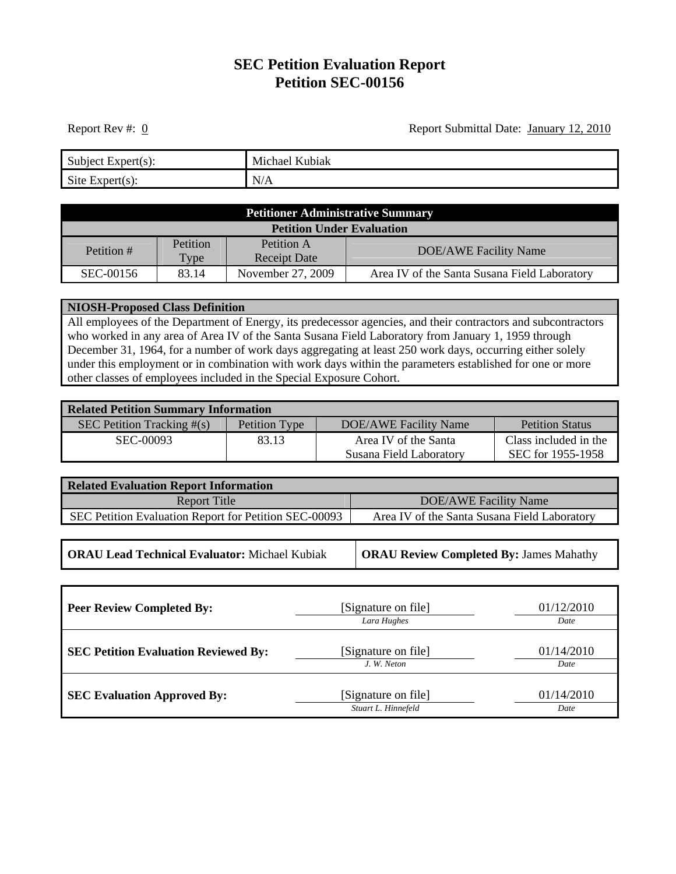### **SEC Petition Evaluation Report Petition SEC-00156**

Report Rev #: 0

| Subject Expert $(s)$ : | Michael<br>Kubiak |
|------------------------|-------------------|
| Site Expert $(s)$ :    | N/A               |

| <b>Petitioner Administrative Summary</b> |                  |                                   |                                              |
|------------------------------------------|------------------|-----------------------------------|----------------------------------------------|
| <b>Petition Under Evaluation</b>         |                  |                                   |                                              |
| Petition #                               | Petition<br>Type | Petition A<br><b>Receipt Date</b> | <b>DOE/AWE Facility Name</b>                 |
| SEC-00156                                | 83.14            | November 27, 2009                 | Area IV of the Santa Susana Field Laboratory |

#### **NIOSH-Proposed Class Definition**

All employees of the Department of Energy, its predecessor agencies, and their contractors and subcontractors who worked in any area of Area IV of the Santa Susana Field Laboratory from January 1, 1959 through December 31, 1964, for a number of work days aggregating at least 250 work days, occurring either solely under this employment or in combination with work days within the parameters established for one or more other classes of employees included in the Special Exposure Cohort.

| <b>Related Petition Summary Information</b> |               |                         |                        |
|---------------------------------------------|---------------|-------------------------|------------------------|
| SEC Petition Tracking $\#(s)$               | Petition Type | DOE/AWE Facility Name   | <b>Petition Status</b> |
| SEC-00093                                   | 83.13         | Area IV of the Santa    | Class included in the  |
|                                             |               | Susana Field Laboratory | SEC for 1955-1958      |

| <b>Related Evaluation Report Information</b>          |                                              |
|-------------------------------------------------------|----------------------------------------------|
| Report Title                                          | DOE/AWE Facility Name                        |
| SEC Petition Evaluation Report for Petition SEC-00093 | Area IV of the Santa Susana Field Laboratory |

**ORAU Lead Technical Evaluator:** Michael Kubiak **CORAU Review Completed By:** James Mahathy

| <b>Peer Review Completed By:</b>            | [Signature on file]<br>Lara Hughes         | 01/12/2010<br>Date |
|---------------------------------------------|--------------------------------------------|--------------------|
| <b>SEC Petition Evaluation Reviewed By:</b> | [Signature on file]<br>J. W. Neton         | 01/14/2010<br>Date |
| <b>SEC Evaluation Approved By:</b>          | [Signature on file]<br>Stuart L. Hinnefeld | 01/14/2010<br>Date |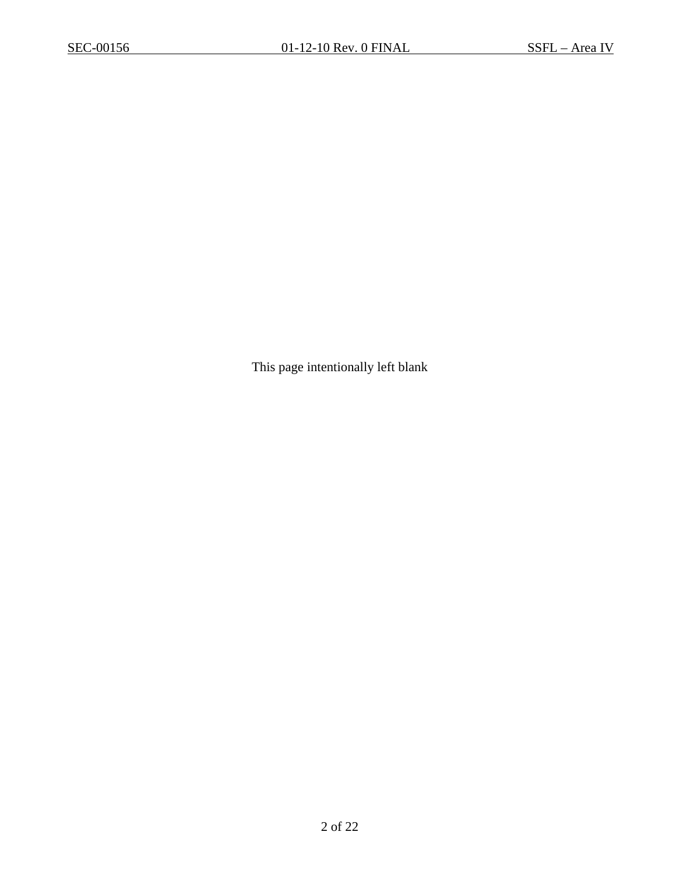This page intentionally left blank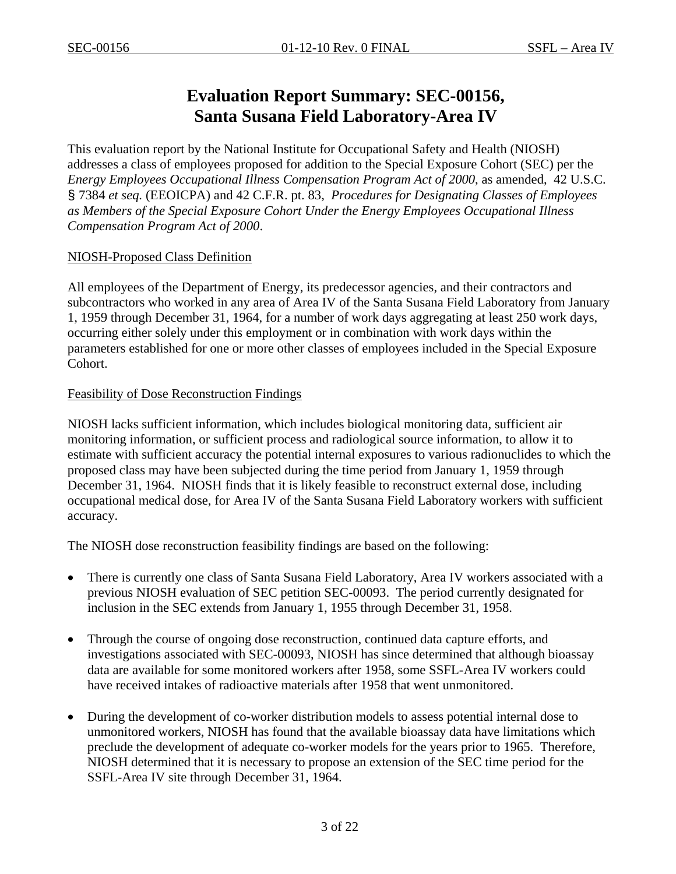## **Evaluation Report Summary: SEC-00156, Santa Susana Field Laboratory-Area IV**

<span id="page-2-0"></span>This evaluation report by the National Institute for Occupational Safety and Health (NIOSH) addresses a class of employees proposed for addition to the Special Exposure Cohort (SEC) per the *Energy Employees Occupational Illness Compensation Program Act of 2000*, as amended, 42 U.S.C. § 7384 *et seq.* (EEOICPA) and 42 C.F.R. pt. 83, *Procedures for Designating Classes of Employees as Members of the Special Exposure Cohort Under the Energy Employees Occupational Illness Compensation Program Act of 2000*.

#### NIOSH-Proposed Class Definition

All employees of the Department of Energy, its predecessor agencies, and their contractors and subcontractors who worked in any area of Area IV of the Santa Susana Field Laboratory from January 1, 1959 through December 31, 1964, for a number of work days aggregating at least 250 work days, occurring either solely under this employment or in combination with work days within the parameters established for one or more other classes of employees included in the Special Exposure Cohort.

#### Feasibility of Dose Reconstruction Findings

NIOSH lacks sufficient information, which includes biological monitoring data, sufficient air monitoring information, or sufficient process and radiological source information, to allow it to estimate with sufficient accuracy the potential internal exposures to various radionuclides to which the proposed class may have been subjected during the time period from January 1, 1959 through December 31, 1964. NIOSH finds that it is likely feasible to reconstruct external dose, including occupational medical dose, for Area IV of the Santa Susana Field Laboratory workers with sufficient accuracy.

The NIOSH dose reconstruction feasibility findings are based on the following:

- There is currently one class of Santa Susana Field Laboratory, Area IV workers associated with a previous NIOSH evaluation of SEC petition SEC-00093. The period currently designated for inclusion in the SEC extends from January 1, 1955 through December 31, 1958.
- Through the course of ongoing dose reconstruction, continued data capture efforts, and investigations associated with SEC-00093, NIOSH has since determined that although bioassay data are available for some monitored workers after 1958, some SSFL-Area IV workers could have received intakes of radioactive materials after 1958 that went unmonitored.
- During the development of co-worker distribution models to assess potential internal dose to unmonitored workers, NIOSH has found that the available bioassay data have limitations which preclude the development of adequate co-worker models for the years prior to 1965. Therefore, NIOSH determined that it is necessary to propose an extension of the SEC time period for the SSFL-Area IV site through December 31, 1964.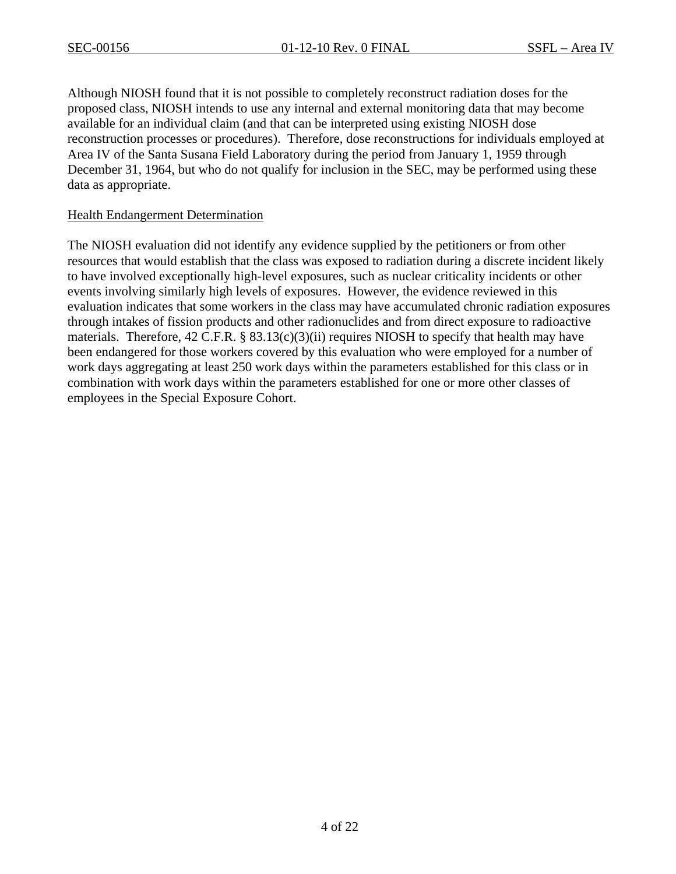Although NIOSH found that it is not possible to completely reconstruct radiation doses for the proposed class, NIOSH intends to use any internal and external monitoring data that may become available for an individual claim (and that can be interpreted using existing NIOSH dose reconstruction processes or procedures). Therefore, dose reconstructions for individuals employed at Area IV of the Santa Susana Field Laboratory during the period from January 1, 1959 through December 31, 1964, but who do not qualify for inclusion in the SEC, may be performed using these data as appropriate.

#### Health Endangerment Determination

The NIOSH evaluation did not identify any evidence supplied by the petitioners or from other resources that would establish that the class was exposed to radiation during a discrete incident likely to have involved exceptionally high-level exposures, such as nuclear criticality incidents or other events involving similarly high levels of exposures. However, the evidence reviewed in this evaluation indicates that some workers in the class may have accumulated chronic radiation exposures through intakes of fission products and other radionuclides and from direct exposure to radioactive materials. Therefore, 42 C.F.R. § 83.13(c)(3)(ii) requires NIOSH to specify that health may have been endangered for those workers covered by this evaluation who were employed for a number of work days aggregating at least 250 work days within the parameters established for this class or in combination with work days within the parameters established for one or more other classes of employees in the Special Exposure Cohort.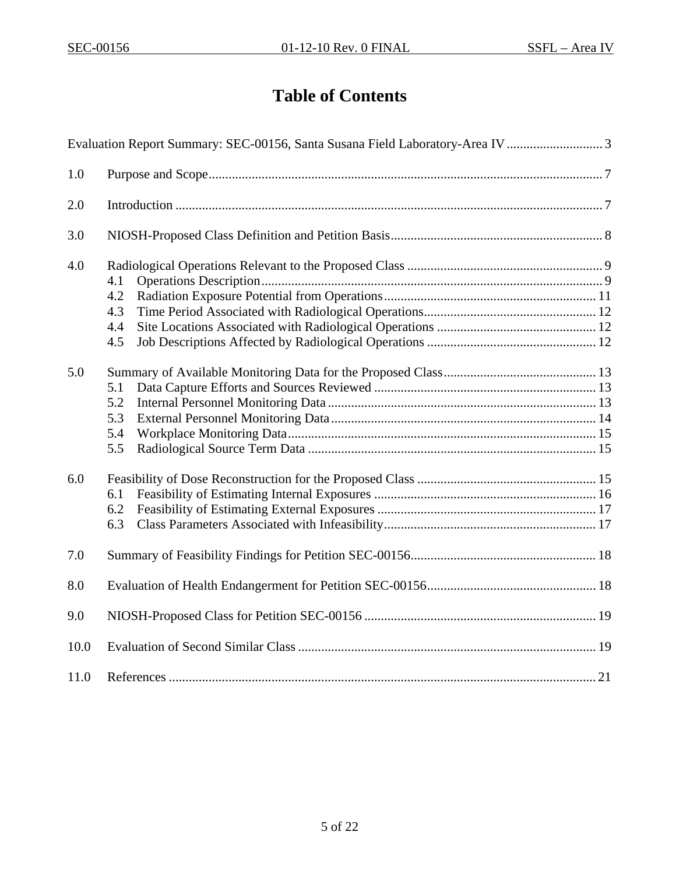# **Table of Contents**

|      | Evaluation Report Summary: SEC-00156, Santa Susana Field Laboratory-Area IV 3 |
|------|-------------------------------------------------------------------------------|
| 1.0  |                                                                               |
| 2.0  |                                                                               |
| 3.0  |                                                                               |
| 4.0  | 4.1<br>4.2<br>4.3<br>4.4<br>4.5                                               |
| 5.0  | 5.1<br>5.2<br>5.3<br>5.4<br>5.5                                               |
| 6.0  | 6.1<br>6.2<br>6.3                                                             |
| 7.0  |                                                                               |
| 8.0  |                                                                               |
| 9.0  |                                                                               |
| 10.0 |                                                                               |
| 11.0 |                                                                               |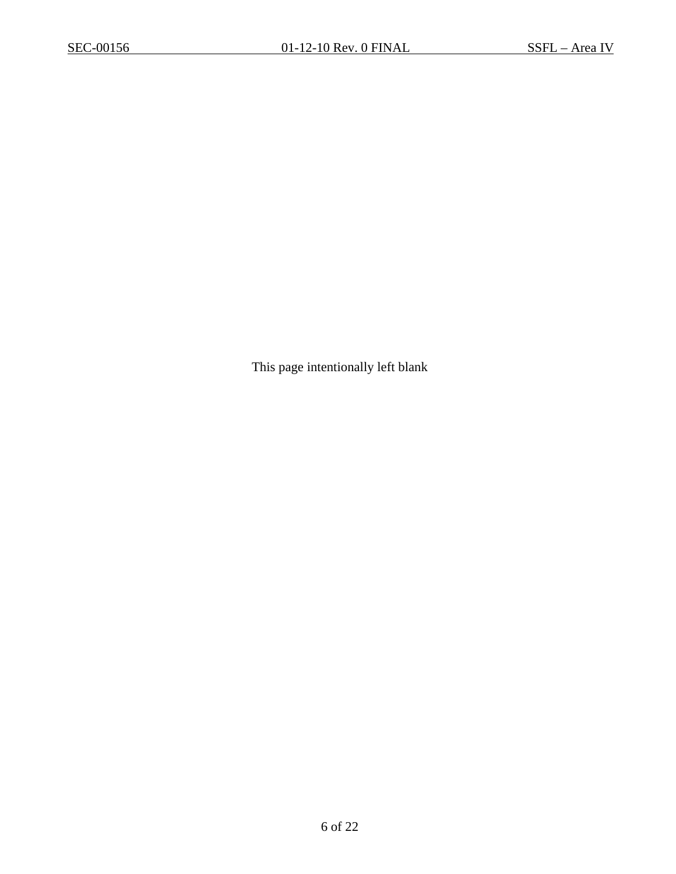This page intentionally left blank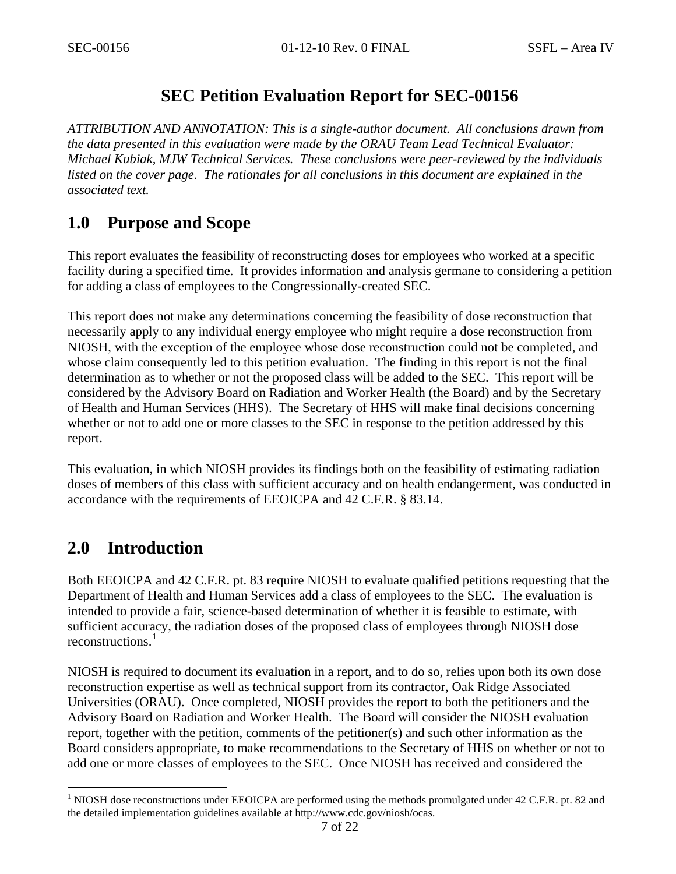### **SEC Petition Evaluation Report for SEC-00156**

*ATTRIBUTION AND ANNOTATION: This is a single-author document. All conclusions drawn from the data presented in this evaluation were made by the ORAU Team Lead Technical Evaluator: Michael Kubiak, MJW Technical Services. These conclusions were peer-reviewed by the individuals*  listed on the cover page. The rationales for all conclusions in this document are explained in the *associated text.* 

## <span id="page-6-0"></span>**1.0 Purpose and Scope**

This report evaluates the feasibility of reconstructing doses for employees who worked at a specific facility during a specified time. It provides information and analysis germane to considering a petition for adding a class of employees to the Congressionally-created SEC.

This report does not make any determinations concerning the feasibility of dose reconstruction that necessarily apply to any individual energy employee who might require a dose reconstruction from NIOSH, with the exception of the employee whose dose reconstruction could not be completed, and whose claim consequently led to this petition evaluation. The finding in this report is not the final determination as to whether or not the proposed class will be added to the SEC. This report will be considered by the Advisory Board on Radiation and Worker Health (the Board) and by the Secretary of Health and Human Services (HHS). The Secretary of HHS will make final decisions concerning whether or not to add one or more classes to the SEC in response to the petition addressed by this report.

This evaluation, in which NIOSH provides its findings both on the feasibility of estimating radiation doses of members of this class with sufficient accuracy and on health endangerment, was conducted in accordance with the requirements of EEOICPA and 42 C.F.R. § 83.14.

## <span id="page-6-1"></span>**2.0 Introduction**

 $\overline{a}$ 

Both EEOICPA and 42 C.F.R. pt. 83 require NIOSH to evaluate qualified petitions requesting that the Department of Health and Human Services add a class of employees to the SEC. The evaluation is intended to provide a fair, science-based determination of whether it is feasible to estimate, with sufficient accuracy, the radiation doses of the proposed class of employees through NIOSH dose reconstructions.<sup>[1](#page-6-2)</sup>

NIOSH is required to document its evaluation in a report, and to do so, relies upon both its own dose reconstruction expertise as well as technical support from its contractor, Oak Ridge Associated Universities (ORAU). Once completed, NIOSH provides the report to both the petitioners and the Advisory Board on Radiation and Worker Health. The Board will consider the NIOSH evaluation report, together with the petition, comments of the petitioner(s) and such other information as the Board considers appropriate, to make recommendations to the Secretary of HHS on whether or not to add one or more classes of employees to the SEC. Once NIOSH has received and considered the

<span id="page-6-2"></span><sup>&</sup>lt;sup>1</sup> NIOSH dose reconstructions under EEOICPA are performed using the methods promulgated under 42 C.F.R. pt. 82 and the detailed implementation guidelines available at http://www.cdc.gov/niosh/ocas.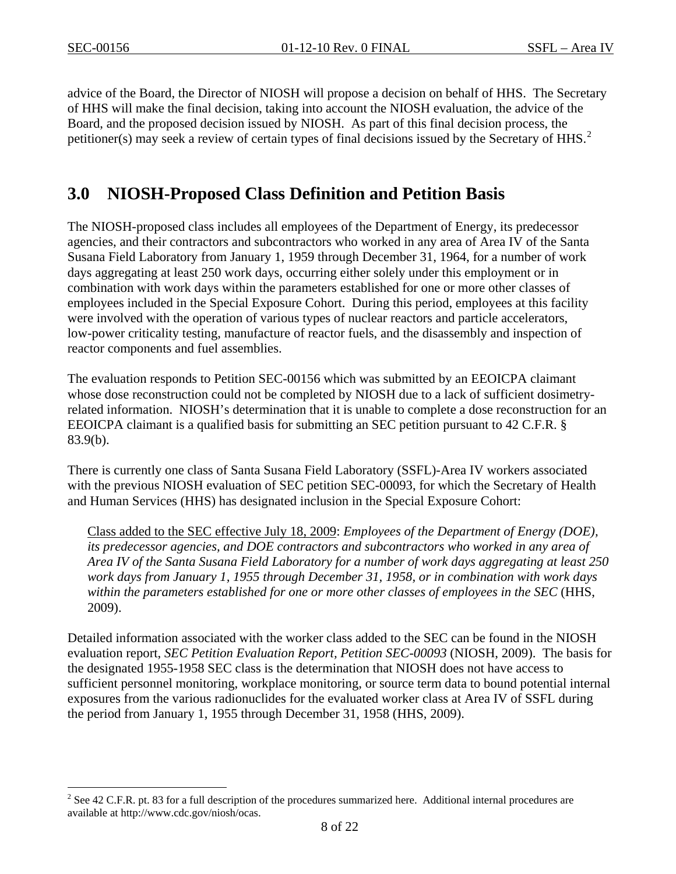$\overline{a}$ 

advice of the Board, the Director of NIOSH will propose a decision on behalf of HHS. The Secretary of HHS will make the final decision, taking into account the NIOSH evaluation, the advice of the Board, and the proposed decision issued by NIOSH. As part of this final decision process, the petitioner(s) may seek a review of certain types of final decisions issued by the Secretary of HHS. $^{2}$  $^{2}$  $^{2}$ 

### <span id="page-7-0"></span>**3.0 NIOSH-Proposed Class Definition and Petition Basis**

The NIOSH-proposed class includes all employees of the Department of Energy, its predecessor agencies, and their contractors and subcontractors who worked in any area of Area IV of the Santa Susana Field Laboratory from January 1, 1959 through December 31, 1964, for a number of work days aggregating at least 250 work days, occurring either solely under this employment or in combination with work days within the parameters established for one or more other classes of employees included in the Special Exposure Cohort. During this period, employees at this facility were involved with the operation of various types of nuclear reactors and particle accelerators, low-power criticality testing, manufacture of reactor fuels, and the disassembly and inspection of reactor components and fuel assemblies.

The evaluation responds to Petition SEC-00156 which was submitted by an EEOICPA claimant whose dose reconstruction could not be completed by NIOSH due to a lack of sufficient dosimetryrelated information. NIOSH's determination that it is unable to complete a dose reconstruction for an EEOICPA claimant is a qualified basis for submitting an SEC petition pursuant to 42 C.F.R. § 83.9(b).

There is currently one class of Santa Susana Field Laboratory (SSFL)-Area IV workers associated with the previous NIOSH evaluation of SEC petition SEC-00093, for which the Secretary of Health and Human Services (HHS) has designated inclusion in the Special Exposure Cohort:

Class added to the SEC effective July 18, 2009: *Employees of the Department of Energy (DOE), its predecessor agencies, and DOE contractors and subcontractors who worked in any area of Area IV of the Santa Susana Field Laboratory for a number of work days aggregating at least 250 work days from January 1, 1955 through December 31, 1958, or in combination with work days within the parameters established for one or more other classes of employees in the SEC* (HHS, 2009).

Detailed information associated with the worker class added to the SEC can be found in the NIOSH evaluation report, *SEC Petition Evaluation Report, Petition SEC-00093* (NIOSH, 2009). The basis for the designated 1955-1958 SEC class is the determination that NIOSH does not have access to sufficient personnel monitoring, workplace monitoring, or source term data to bound potential internal exposures from the various radionuclides for the evaluated worker class at Area IV of SSFL during the period from January 1, 1955 through December 31, 1958 (HHS, 2009).

<span id="page-7-1"></span> $2^2$  See 42 C.F.R. pt. 83 for a full description of the procedures summarized here. Additional internal procedures are available at http://www.cdc.gov/niosh/ocas.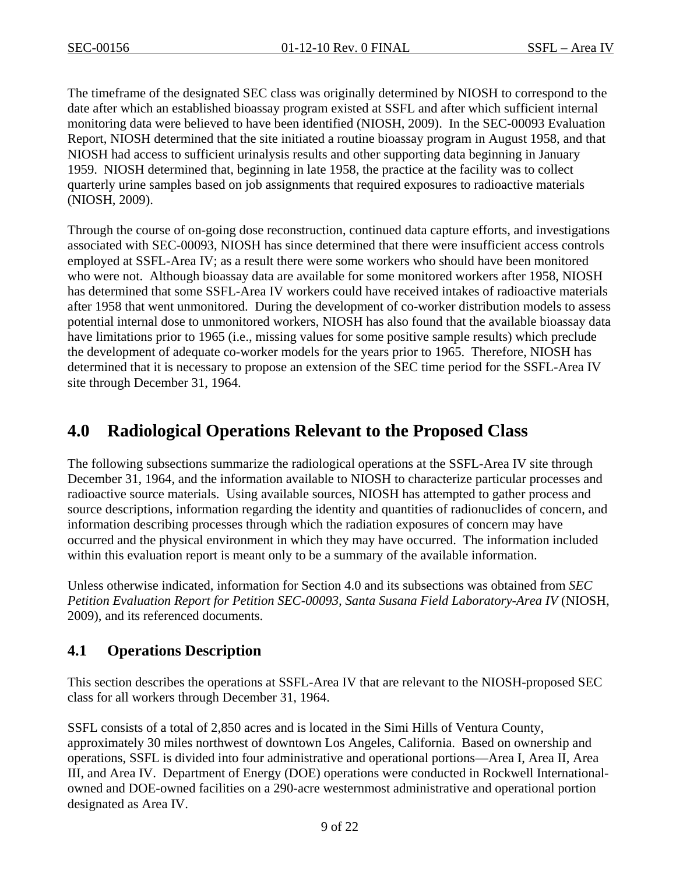The timeframe of the designated SEC class was originally determined by NIOSH to correspond to the date after which an established bioassay program existed at SSFL and after which sufficient internal monitoring data were believed to have been identified (NIOSH, 2009). In the SEC-00093 Evaluation Report, NIOSH determined that the site initiated a routine bioassay program in August 1958, and that NIOSH had access to sufficient urinalysis results and other supporting data beginning in January 1959. NIOSH determined that, beginning in late 1958, the practice at the facility was to collect quarterly urine samples based on job assignments that required exposures to radioactive materials (NIOSH, 2009).

Through the course of on-going dose reconstruction, continued data capture efforts, and investigations associated with SEC-00093, NIOSH has since determined that there were insufficient access controls employed at SSFL-Area IV; as a result there were some workers who should have been monitored who were not. Although bioassay data are available for some monitored workers after 1958, NIOSH has determined that some SSFL-Area IV workers could have received intakes of radioactive materials after 1958 that went unmonitored. During the development of co-worker distribution models to assess potential internal dose to unmonitored workers, NIOSH has also found that the available bioassay data have limitations prior to 1965 (i.e., missing values for some positive sample results) which preclude the development of adequate co-worker models for the years prior to 1965. Therefore, NIOSH has determined that it is necessary to propose an extension of the SEC time period for the SSFL-Area IV site through December 31, 1964.

### <span id="page-8-0"></span>**4.0 Radiological Operations Relevant to the Proposed Class**

The following subsections summarize the radiological operations at the SSFL-Area IV site through December 31, 1964, and the information available to NIOSH to characterize particular processes and radioactive source materials. Using available sources, NIOSH has attempted to gather process and source descriptions, information regarding the identity and quantities of radionuclides of concern, and information describing processes through which the radiation exposures of concern may have occurred and the physical environment in which they may have occurred. The information included within this evaluation report is meant only to be a summary of the available information.

Unless otherwise indicated, information for Section 4.0 and its subsections was obtained from *SEC Petition Evaluation Report for Petition SEC-00093, Santa Susana Field Laboratory-Area IV* (NIOSH, 2009), and its referenced documents.

### <span id="page-8-1"></span>**4.1 Operations Description**

This section describes the operations at SSFL-Area IV that are relevant to the NIOSH-proposed SEC class for all workers through December 31, 1964.

SSFL consists of a total of 2,850 acres and is located in the Simi Hills of Ventura County, approximately 30 miles northwest of downtown Los Angeles, California. Based on ownership and operations, SSFL is divided into four administrative and operational portions—Area I, Area II, Area III, and Area IV. Department of Energy (DOE) operations were conducted in Rockwell Internationalowned and DOE-owned facilities on a 290-acre westernmost administrative and operational portion designated as Area IV.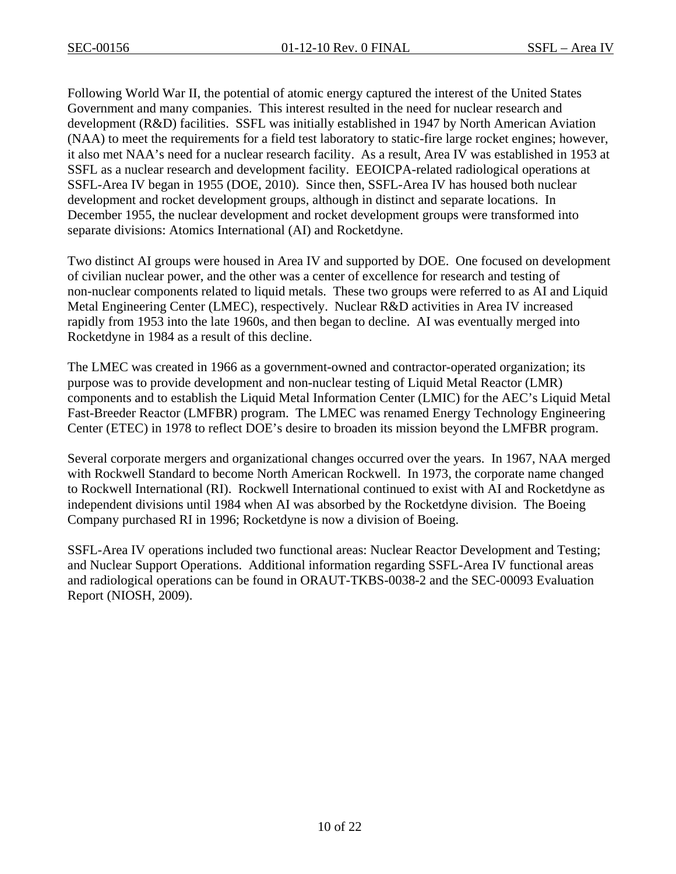Following World War II, the potential of atomic energy captured the interest of the United States Government and many companies. This interest resulted in the need for nuclear research and development (R&D) facilities. SSFL was initially established in 1947 by North American Aviation (NAA) to meet the requirements for a field test laboratory to static-fire large rocket engines; however, it also met NAA's need for a nuclear research facility. As a result, Area IV was established in 1953 at SSFL as a nuclear research and development facility. EEOICPA-related radiological operations at SSFL-Area IV began in 1955 (DOE, 2010). Since then, SSFL-Area IV has housed both nuclear development and rocket development groups, although in distinct and separate locations. In December 1955, the nuclear development and rocket development groups were transformed into separate divisions: Atomics International (AI) and Rocketdyne.

Two distinct AI groups were housed in Area IV and supported by DOE. One focused on development of civilian nuclear power, and the other was a center of excellence for research and testing of non-nuclear components related to liquid metals. These two groups were referred to as AI and Liquid Metal Engineering Center (LMEC), respectively. Nuclear R&D activities in Area IV increased rapidly from 1953 into the late 1960s, and then began to decline. AI was eventually merged into Rocketdyne in 1984 as a result of this decline.

The LMEC was created in 1966 as a government-owned and contractor-operated organization; its purpose was to provide development and non-nuclear testing of Liquid Metal Reactor (LMR) components and to establish the Liquid Metal Information Center (LMIC) for the AEC's Liquid Metal Fast-Breeder Reactor (LMFBR) program. The LMEC was renamed Energy Technology Engineering Center (ETEC) in 1978 to reflect DOE's desire to broaden its mission beyond the LMFBR program.

Several corporate mergers and organizational changes occurred over the years. In 1967, NAA merged with Rockwell Standard to become North American Rockwell. In 1973, the corporate name changed to Rockwell International (RI). Rockwell International continued to exist with AI and Rocketdyne as independent divisions until 1984 when AI was absorbed by the Rocketdyne division. The Boeing Company purchased RI in 1996; Rocketdyne is now a division of Boeing.

SSFL-Area IV operations included two functional areas: Nuclear Reactor Development and Testing; and Nuclear Support Operations. Additional information regarding SSFL-Area IV functional areas and radiological operations can be found in ORAUT-TKBS-0038-2 and the SEC-00093 Evaluation Report (NIOSH, 2009).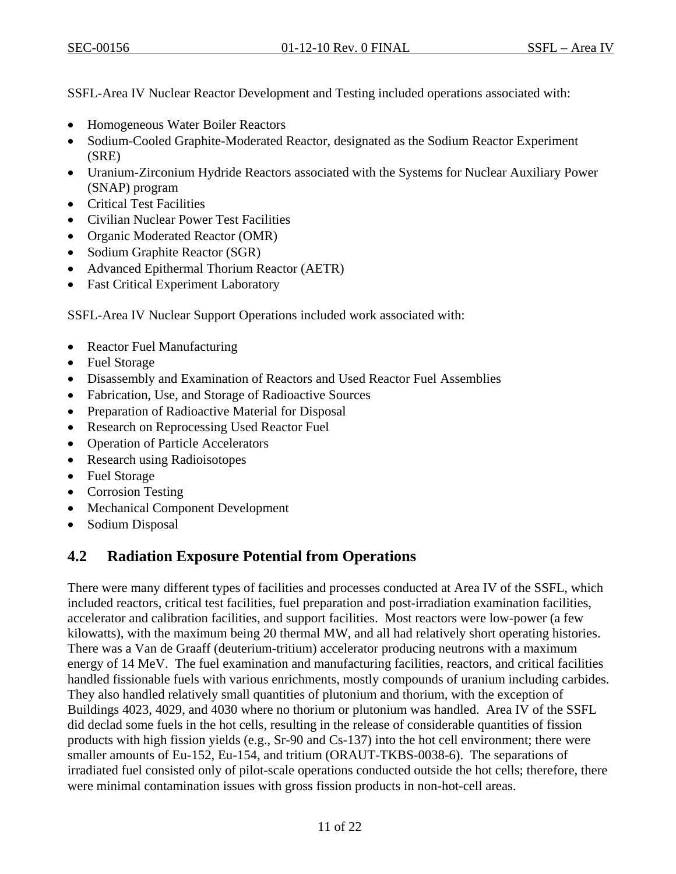SSFL-Area IV Nuclear Reactor Development and Testing included operations associated with:

- Homogeneous Water Boiler Reactors
- Sodium-Cooled Graphite-Moderated Reactor, designated as the Sodium Reactor Experiment (SRE)
- Uranium-Zirconium Hydride Reactors associated with the Systems for Nuclear Auxiliary Power (SNAP) program
- Critical Test Facilities
- Civilian Nuclear Power Test Facilities
- Organic Moderated Reactor (OMR)
- Sodium Graphite Reactor (SGR)
- Advanced Epithermal Thorium Reactor (AETR)
- Fast Critical Experiment Laboratory

SSFL-Area IV Nuclear Support Operations included work associated with:

- Reactor Fuel Manufacturing
- Fuel Storage
- Disassembly and Examination of Reactors and Used Reactor Fuel Assemblies
- Fabrication, Use, and Storage of Radioactive Sources
- Preparation of Radioactive Material for Disposal
- Research on Reprocessing Used Reactor Fuel
- Operation of Particle Accelerators
- Research using Radioisotopes
- Fuel Storage
- Corrosion Testing
- Mechanical Component Development
- Sodium Disposal

### <span id="page-10-0"></span>**4.2 Radiation Exposure Potential from Operations**

There were many different types of facilities and processes conducted at Area IV of the SSFL, which included reactors, critical test facilities, fuel preparation and post-irradiation examination facilities, accelerator and calibration facilities, and support facilities. Most reactors were low-power (a few kilowatts), with the maximum being 20 thermal MW, and all had relatively short operating histories. There was a Van de Graaff (deuterium-tritium) accelerator producing neutrons with a maximum energy of 14 MeV. The fuel examination and manufacturing facilities, reactors, and critical facilities handled fissionable fuels with various enrichments, mostly compounds of uranium including carbides. They also handled relatively small quantities of plutonium and thorium, with the exception of Buildings 4023, 4029, and 4030 where no thorium or plutonium was handled. Area IV of the SSFL did declad some fuels in the hot cells, resulting in the release of considerable quantities of fission products with high fission yields (e.g., Sr-90 and Cs-137) into the hot cell environment; there were smaller amounts of Eu-152, Eu-154, and tritium (ORAUT-TKBS-0038-6). The separations of irradiated fuel consisted only of pilot-scale operations conducted outside the hot cells; therefore, there were minimal contamination issues with gross fission products in non-hot-cell areas.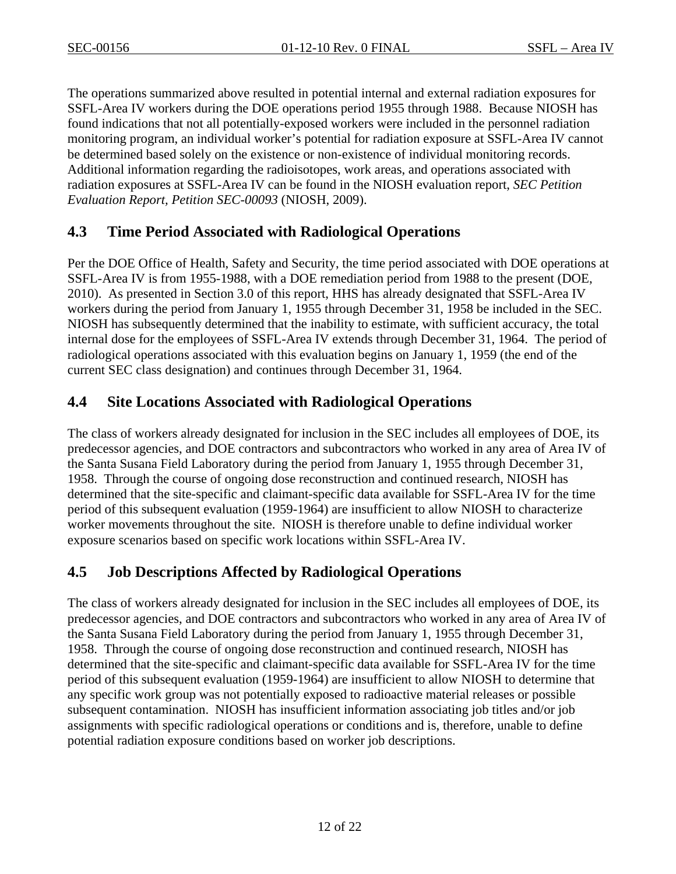The operations summarized above resulted in potential internal and external radiation exposures for SSFL-Area IV workers during the DOE operations period 1955 through 1988. Because NIOSH has found indications that not all potentially-exposed workers were included in the personnel radiation monitoring program, an individual worker's potential for radiation exposure at SSFL-Area IV cannot be determined based solely on the existence or non-existence of individual monitoring records. Additional information regarding the radioisotopes, work areas, and operations associated with radiation exposures at SSFL-Area IV can be found in the NIOSH evaluation report, *SEC Petition Evaluation Report, Petition SEC-00093* (NIOSH, 2009).

### <span id="page-11-0"></span>**4.3 Time Period Associated with Radiological Operations**

Per the DOE Office of Health, Safety and Security, the time period associated with DOE operations at SSFL-Area IV is from 1955-1988, with a DOE remediation period from 1988 to the present (DOE, 2010). As presented in Section 3.0 of this report, HHS has already designated that SSFL-Area IV workers during the period from January 1, 1955 through December 31, 1958 be included in the SEC. NIOSH has subsequently determined that the inability to estimate, with sufficient accuracy, the total internal dose for the employees of SSFL-Area IV extends through December 31, 1964. The period of radiological operations associated with this evaluation begins on January 1, 1959 (the end of the current SEC class designation) and continues through December 31, 1964.

### <span id="page-11-1"></span>**4.4 Site Locations Associated with Radiological Operations**

The class of workers already designated for inclusion in the SEC includes all employees of DOE, its predecessor agencies, and DOE contractors and subcontractors who worked in any area of Area IV of the Santa Susana Field Laboratory during the period from January 1, 1955 through December 31, 1958. Through the course of ongoing dose reconstruction and continued research, NIOSH has determined that the site-specific and claimant-specific data available for SSFL-Area IV for the time period of this subsequent evaluation (1959-1964) are insufficient to allow NIOSH to characterize worker movements throughout the site. NIOSH is therefore unable to define individual worker exposure scenarios based on specific work locations within SSFL-Area IV.

### <span id="page-11-2"></span>**4.5 Job Descriptions Affected by Radiological Operations**

The class of workers already designated for inclusion in the SEC includes all employees of DOE, its predecessor agencies, and DOE contractors and subcontractors who worked in any area of Area IV of the Santa Susana Field Laboratory during the period from January 1, 1955 through December 31, 1958. Through the course of ongoing dose reconstruction and continued research, NIOSH has determined that the site-specific and claimant-specific data available for SSFL-Area IV for the time period of this subsequent evaluation (1959-1964) are insufficient to allow NIOSH to determine that any specific work group was not potentially exposed to radioactive material releases or possible subsequent contamination. NIOSH has insufficient information associating job titles and/or job assignments with specific radiological operations or conditions and is, therefore, unable to define potential radiation exposure conditions based on worker job descriptions.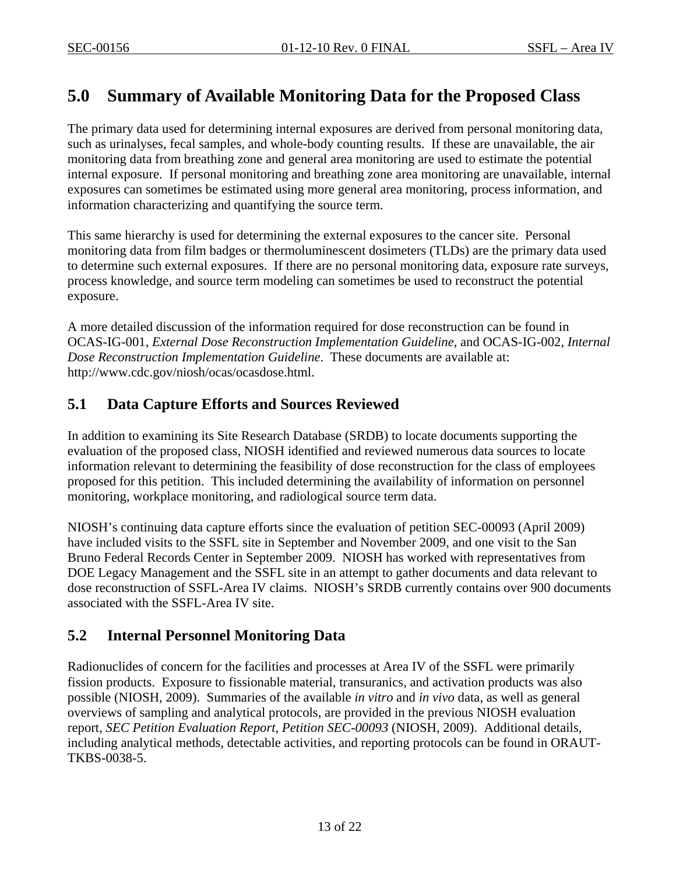### **5.0 Summary of Available Monitoring Data for the Proposed Class**

The primary data used for determining internal exposures are derived from personal monitoring data, such as urinalyses, fecal samples, and whole-body counting results. If these are unavailable, the air monitoring data from breathing zone and general area monitoring are used to estimate the potential internal exposure. If personal monitoring and breathing zone area monitoring are unavailable, internal exposures can sometimes be estimated using more general area monitoring, process information, and information characterizing and quantifying the source term.

This same hierarchy is used for determining the external exposures to the cancer site. Personal monitoring data from film badges or thermoluminescent dosimeters (TLDs) are the primary data used to determine such external exposures. If there are no personal monitoring data, exposure rate surveys, process knowledge, and source term modeling can sometimes be used to reconstruct the potential exposure.

A more detailed discussion of the information required for dose reconstruction can be found in OCAS-IG-001, *External Dose Reconstruction Implementation Guideline,* and OCAS-IG-002, *Internal Dose Reconstruction Implementation Guideline*. These documents are available at: http://www.cdc.gov/niosh/ocas/ocasdose.html.

### <span id="page-12-1"></span>**5.1 Data Capture Efforts and Sources Reviewed**

In addition to examining its Site Research Database (SRDB) to locate documents supporting the evaluation of the proposed class, NIOSH identified and reviewed numerous data sources to locate information relevant to determining the feasibility of dose reconstruction for the class of employees proposed for this petition. This included determining the availability of information on personnel monitoring, workplace monitoring, and radiological source term data.

NIOSH's continuing data capture efforts since the evaluation of petition SEC-00093 (April 2009) have included visits to the SSFL site in September and November 2009, and one visit to the San Bruno Federal Records Center in September 2009. NIOSH has worked with representatives from DOE Legacy Management and the SSFL site in an attempt to gather documents and data relevant to dose reconstruction of SSFL-Area IV claims. NIOSH's SRDB currently contains over 900 documents associated with the SSFL-Area IV site.

### <span id="page-12-2"></span>**5.2 Internal Personnel Monitoring Data**

<span id="page-12-0"></span>Radionuclides of concern for the facilities and processes at Area IV of the SSFL were primarily fission products. Exposure to fissionable material, transuranics, and activation products was also possible (NIOSH, 2009). Summaries of the available *in vitro* and *in vivo* data, as well as general overviews of sampling and analytical protocols, are provided in the previous NIOSH evaluation report, *SEC Petition Evaluation Report, Petition SEC-00093* (NIOSH, 2009). Additional details, including analytical methods, detectable activities, and reporting protocols can be found in ORAUT-TKBS-0038-5.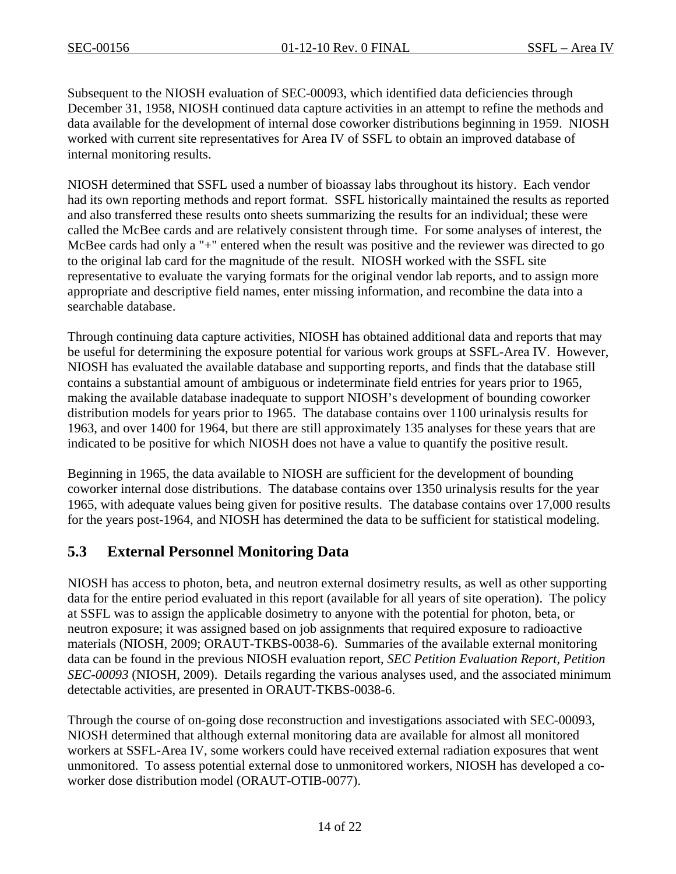Subsequent to the NIOSH evaluation of SEC-00093, which identified data deficiencies through December 31, 1958, NIOSH continued data capture activities in an attempt to refine the methods and data available for the development of internal dose coworker distributions beginning in 1959. NIOSH worked with current site representatives for Area IV of SSFL to obtain an improved database of internal monitoring results.

NIOSH determined that SSFL used a number of bioassay labs throughout its history. Each vendor had its own reporting methods and report format. SSFL historically maintained the results as reported and also transferred these results onto sheets summarizing the results for an individual; these were called the McBee cards and are relatively consistent through time. For some analyses of interest, the McBee cards had only a "+" entered when the result was positive and the reviewer was directed to go to the original lab card for the magnitude of the result. NIOSH worked with the SSFL site representative to evaluate the varying formats for the original vendor lab reports, and to assign more appropriate and descriptive field names, enter missing information, and recombine the data into a searchable database.

Through continuing data capture activities, NIOSH has obtained additional data and reports that may be useful for determining the exposure potential for various work groups at SSFL-Area IV. However, NIOSH has evaluated the available database and supporting reports, and finds that the database still contains a substantial amount of ambiguous or indeterminate field entries for years prior to 1965, making the available database inadequate to support NIOSH's development of bounding coworker distribution models for years prior to 1965. The database contains over 1100 urinalysis results for 1963, and over 1400 for 1964, but there are still approximately 135 analyses for these years that are indicated to be positive for which NIOSH does not have a value to quantify the positive result.

Beginning in 1965, the data available to NIOSH are sufficient for the development of bounding coworker internal dose distributions. The database contains over 1350 urinalysis results for the year 1965, with adequate values being given for positive results. The database contains over 17,000 results for the years post-1964, and NIOSH has determined the data to be sufficient for statistical modeling.

### <span id="page-13-0"></span>**5.3 External Personnel Monitoring Data**

NIOSH has access to photon, beta, and neutron external dosimetry results, as well as other supporting data for the entire period evaluated in this report (available for all years of site operation). The policy at SSFL was to assign the applicable dosimetry to anyone with the potential for photon, beta, or neutron exposure; it was assigned based on job assignments that required exposure to radioactive materials (NIOSH, 2009; ORAUT-TKBS-0038-6). Summaries of the available external monitoring data can be found in the previous NIOSH evaluation report, *SEC Petition Evaluation Report, Petition SEC-00093* (NIOSH, 2009). Details regarding the various analyses used, and the associated minimum detectable activities, are presented in ORAUT-TKBS-0038-6.

Through the course of on-going dose reconstruction and investigations associated with SEC-00093, NIOSH determined that although external monitoring data are available for almost all monitored workers at SSFL-Area IV, some workers could have received external radiation exposures that went unmonitored. To assess potential external dose to unmonitored workers, NIOSH has developed a coworker dose distribution model (ORAUT-OTIB-0077).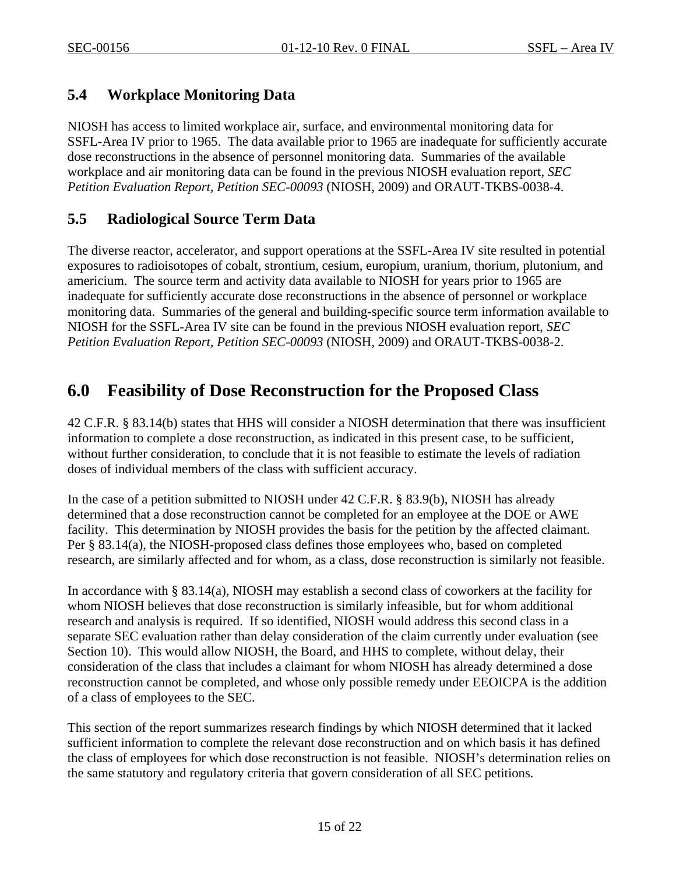### <span id="page-14-0"></span>**5.4 Workplace Monitoring Data**

NIOSH has access to limited workplace air, surface, and environmental monitoring data for SSFL-Area IV prior to 1965. The data available prior to 1965 are inadequate for sufficiently accurate dose reconstructions in the absence of personnel monitoring data. Summaries of the available workplace and air monitoring data can be found in the previous NIOSH evaluation report, *SEC Petition Evaluation Report, Petition SEC-00093* (NIOSH, 2009) and ORAUT-TKBS-0038-4.

### <span id="page-14-1"></span>**5.5 Radiological Source Term Data**

The diverse reactor, accelerator, and support operations at the SSFL-Area IV site resulted in potential exposures to radioisotopes of cobalt, strontium, cesium, europium, uranium, thorium, plutonium, and americium. The source term and activity data available to NIOSH for years prior to 1965 are inadequate for sufficiently accurate dose reconstructions in the absence of personnel or workplace monitoring data. Summaries of the general and building-specific source term information available to NIOSH for the SSFL-Area IV site can be found in the previous NIOSH evaluation report, *SEC Petition Evaluation Report, Petition SEC-00093* (NIOSH, 2009) and ORAUT-TKBS-0038-2.

### <span id="page-14-2"></span>**6.0 Feasibility of Dose Reconstruction for the Proposed Class**

42 C.F.R. § 83.14(b) states that HHS will consider a NIOSH determination that there was insufficient information to complete a dose reconstruction, as indicated in this present case, to be sufficient, without further consideration, to conclude that it is not feasible to estimate the levels of radiation doses of individual members of the class with sufficient accuracy.

In the case of a petition submitted to NIOSH under 42 C.F.R. § 83.9(b), NIOSH has already determined that a dose reconstruction cannot be completed for an employee at the DOE or AWE facility. This determination by NIOSH provides the basis for the petition by the affected claimant. Per § 83.14(a), the NIOSH-proposed class defines those employees who, based on completed research, are similarly affected and for whom, as a class, dose reconstruction is similarly not feasible.

In accordance with § 83.14(a), NIOSH may establish a second class of coworkers at the facility for whom NIOSH believes that dose reconstruction is similarly infeasible, but for whom additional research and analysis is required. If so identified, NIOSH would address this second class in a separate SEC evaluation rather than delay consideration of the claim currently under evaluation (see Section 10). This would allow NIOSH, the Board, and HHS to complete, without delay, their consideration of the class that includes a claimant for whom NIOSH has already determined a dose reconstruction cannot be completed, and whose only possible remedy under EEOICPA is the addition of a class of employees to the SEC.

This section of the report summarizes research findings by which NIOSH determined that it lacked sufficient information to complete the relevant dose reconstruction and on which basis it has defined the class of employees for which dose reconstruction is not feasible. NIOSH's determination relies on the same statutory and regulatory criteria that govern consideration of all SEC petitions.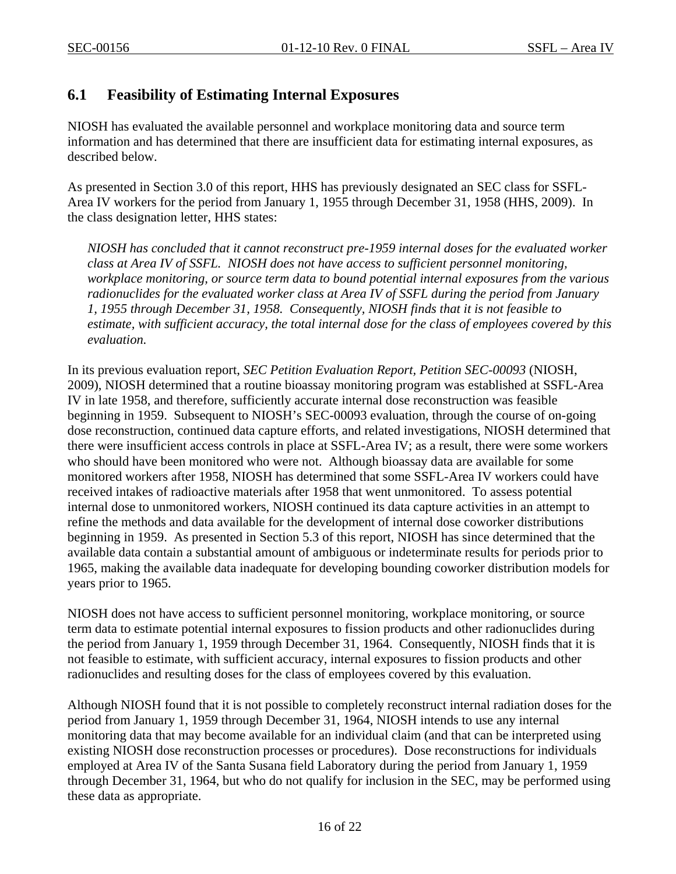### <span id="page-15-0"></span>**6.1 Feasibility of Estimating Internal Exposures**

NIOSH has evaluated the available personnel and workplace monitoring data and source term information and has determined that there are insufficient data for estimating internal exposures, as described below.

As presented in Section 3.0 of this report, HHS has previously designated an SEC class for SSFL-Area IV workers for the period from January 1, 1955 through December 31, 1958 (HHS, 2009). In the class designation letter, HHS states:

*NIOSH has concluded that it cannot reconstruct pre-1959 internal doses for the evaluated worker class at Area IV of SSFL. NIOSH does not have access to sufficient personnel monitoring, workplace monitoring, or source term data to bound potential internal exposures from the various radionuclides for the evaluated worker class at Area IV of SSFL during the period from January 1, 1955 through December 31, 1958. Consequently, NIOSH finds that it is not feasible to estimate, with sufficient accuracy, the total internal dose for the class of employees covered by this evaluation.*

In its previous evaluation report, *SEC Petition Evaluation Report, Petition SEC-00093* (NIOSH, 2009), NIOSH determined that a routine bioassay monitoring program was established at SSFL-Area IV in late 1958, and therefore, sufficiently accurate internal dose reconstruction was feasible beginning in 1959. Subsequent to NIOSH's SEC-00093 evaluation, through the course of on-going dose reconstruction, continued data capture efforts, and related investigations, NIOSH determined that there were insufficient access controls in place at SSFL-Area IV; as a result, there were some workers who should have been monitored who were not. Although bioassay data are available for some monitored workers after 1958, NIOSH has determined that some SSFL-Area IV workers could have received intakes of radioactive materials after 1958 that went unmonitored. To assess potential internal dose to unmonitored workers, NIOSH continued its data capture activities in an attempt to refine the methods and data available for the development of internal dose coworker distributions beginning in 1959. As presented in Section 5.3 of this report, NIOSH has since determined that the available data contain a substantial amount of ambiguous or indeterminate results for periods prior to 1965, making the available data inadequate for developing bounding coworker distribution models for years prior to 1965.

NIOSH does not have access to sufficient personnel monitoring, workplace monitoring, or source term data to estimate potential internal exposures to fission products and other radionuclides during the period from January 1, 1959 through December 31, 1964. Consequently, NIOSH finds that it is not feasible to estimate, with sufficient accuracy, internal exposures to fission products and other radionuclides and resulting doses for the class of employees covered by this evaluation.

Although NIOSH found that it is not possible to completely reconstruct internal radiation doses for the period from January 1, 1959 through December 31, 1964, NIOSH intends to use any internal monitoring data that may become available for an individual claim (and that can be interpreted using existing NIOSH dose reconstruction processes or procedures). Dose reconstructions for individuals employed at Area IV of the Santa Susana field Laboratory during the period from January 1, 1959 through December 31, 1964, but who do not qualify for inclusion in the SEC, may be performed using these data as appropriate.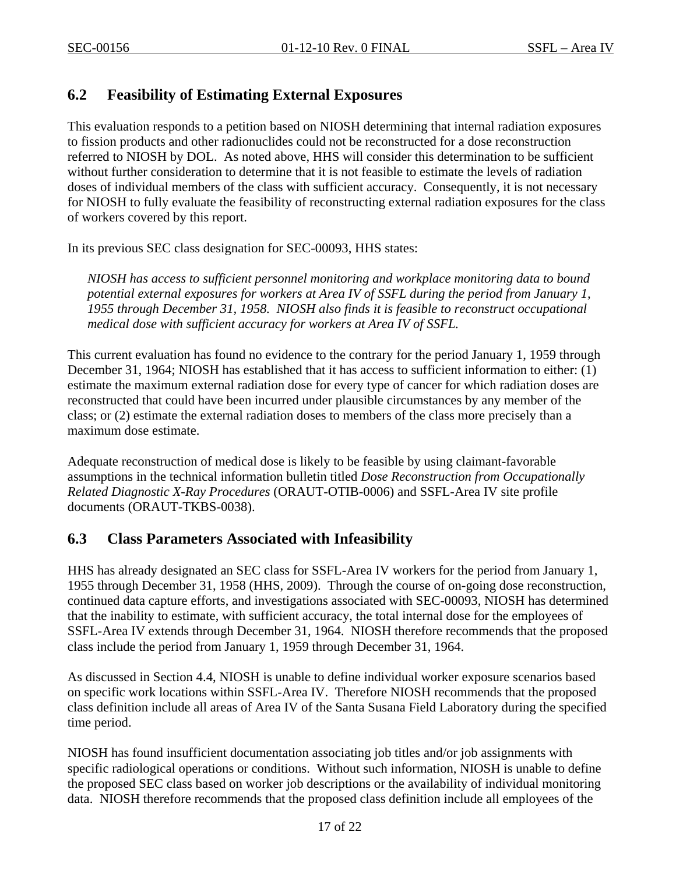#### <span id="page-16-0"></span>**6.2 Feasibility of Estimating External Exposures**

This evaluation responds to a petition based on NIOSH determining that internal radiation exposures to fission products and other radionuclides could not be reconstructed for a dose reconstruction referred to NIOSH by DOL. As noted above, HHS will consider this determination to be sufficient without further consideration to determine that it is not feasible to estimate the levels of radiation doses of individual members of the class with sufficient accuracy. Consequently, it is not necessary for NIOSH to fully evaluate the feasibility of reconstructing external radiation exposures for the class of workers covered by this report.

In its previous SEC class designation for SEC-00093, HHS states:

*NIOSH has access to sufficient personnel monitoring and workplace monitoring data to bound potential external exposures for workers at Area IV of SSFL during the period from January 1, 1955 through December 31, 1958. NIOSH also finds it is feasible to reconstruct occupational medical dose with sufficient accuracy for workers at Area IV of SSFL.*

This current evaluation has found no evidence to the contrary for the period January 1, 1959 through December 31, 1964; NIOSH has established that it has access to sufficient information to either: (1) estimate the maximum external radiation dose for every type of cancer for which radiation doses are reconstructed that could have been incurred under plausible circumstances by any member of the class; or (2) estimate the external radiation doses to members of the class more precisely than a maximum dose estimate.

Adequate reconstruction of medical dose is likely to be feasible by using claimant-favorable assumptions in the technical information bulletin titled *Dose Reconstruction from Occupationally Related Diagnostic X-Ray Procedures* (ORAUT-OTIB-0006) and SSFL-Area IV site profile documents (ORAUT-TKBS-0038).

#### <span id="page-16-1"></span>**6.3 Class Parameters Associated with Infeasibility**

HHS has already designated an SEC class for SSFL-Area IV workers for the period from January 1, 1955 through December 31, 1958 (HHS, 2009). Through the course of on-going dose reconstruction, continued data capture efforts, and investigations associated with SEC-00093, NIOSH has determined that the inability to estimate, with sufficient accuracy, the total internal dose for the employees of SSFL-Area IV extends through December 31, 1964. NIOSH therefore recommends that the proposed class include the period from January 1, 1959 through December 31, 1964.

As discussed in Section 4.4, NIOSH is unable to define individual worker exposure scenarios based on specific work locations within SSFL-Area IV. Therefore NIOSH recommends that the proposed class definition include all areas of Area IV of the Santa Susana Field Laboratory during the specified time period.

NIOSH has found insufficient documentation associating job titles and/or job assignments with specific radiological operations or conditions. Without such information, NIOSH is unable to define the proposed SEC class based on worker job descriptions or the availability of individual monitoring data. NIOSH therefore recommends that the proposed class definition include all employees of the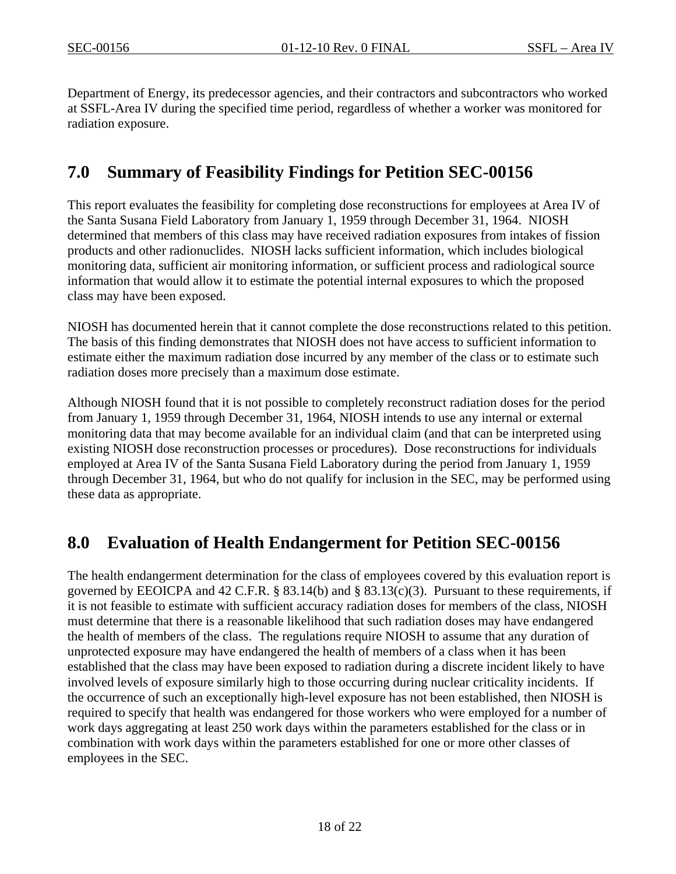Department of Energy, its predecessor agencies, and their contractors and subcontractors who worked at SSFL-Area IV during the specified time period, regardless of whether a worker was monitored for radiation exposure.

### <span id="page-17-0"></span>**7.0 Summary of Feasibility Findings for Petition SEC-00156**

This report evaluates the feasibility for completing dose reconstructions for employees at Area IV of the Santa Susana Field Laboratory from January 1, 1959 through December 31, 1964. NIOSH determined that members of this class may have received radiation exposures from intakes of fission products and other radionuclides. NIOSH lacks sufficient information, which includes biological monitoring data, sufficient air monitoring information, or sufficient process and radiological source information that would allow it to estimate the potential internal exposures to which the proposed class may have been exposed.

NIOSH has documented herein that it cannot complete the dose reconstructions related to this petition. The basis of this finding demonstrates that NIOSH does not have access to sufficient information to estimate either the maximum radiation dose incurred by any member of the class or to estimate such radiation doses more precisely than a maximum dose estimate.

Although NIOSH found that it is not possible to completely reconstruct radiation doses for the period from January 1, 1959 through December 31, 1964, NIOSH intends to use any internal or external monitoring data that may become available for an individual claim (and that can be interpreted using existing NIOSH dose reconstruction processes or procedures). Dose reconstructions for individuals employed at Area IV of the Santa Susana Field Laboratory during the period from January 1, 1959 through December 31, 1964, but who do not qualify for inclusion in the SEC, may be performed using these data as appropriate.

## <span id="page-17-1"></span>**8.0 Evaluation of Health Endangerment for Petition SEC-00156**

The health endangerment determination for the class of employees covered by this evaluation report is governed by EEOICPA and 42 C.F.R. § 83.14(b) and § 83.13(c)(3). Pursuant to these requirements, if it is not feasible to estimate with sufficient accuracy radiation doses for members of the class, NIOSH must determine that there is a reasonable likelihood that such radiation doses may have endangered the health of members of the class. The regulations require NIOSH to assume that any duration of unprotected exposure may have endangered the health of members of a class when it has been established that the class may have been exposed to radiation during a discrete incident likely to have involved levels of exposure similarly high to those occurring during nuclear criticality incidents. If the occurrence of such an exceptionally high-level exposure has not been established, then NIOSH is required to specify that health was endangered for those workers who were employed for a number of work days aggregating at least 250 work days within the parameters established for the class or in combination with work days within the parameters established for one or more other classes of employees in the SEC.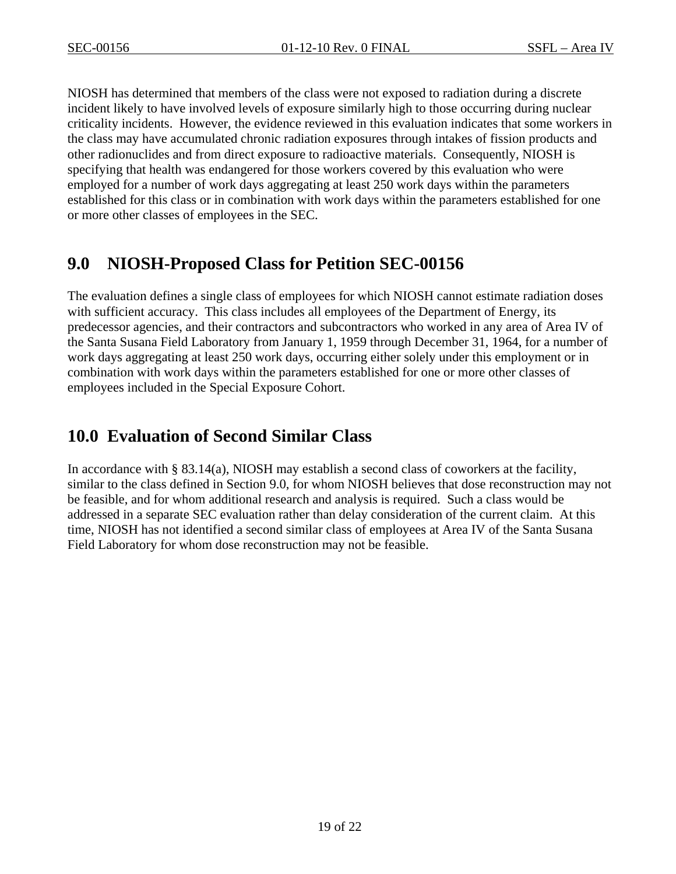NIOSH has determined that members of the class were not exposed to radiation during a discrete incident likely to have involved levels of exposure similarly high to those occurring during nuclear criticality incidents. However, the evidence reviewed in this evaluation indicates that some workers in the class may have accumulated chronic radiation exposures through intakes of fission products and other radionuclides and from direct exposure to radioactive materials. Consequently, NIOSH is specifying that health was endangered for those workers covered by this evaluation who were employed for a number of work days aggregating at least 250 work days within the parameters established for this class or in combination with work days within the parameters established for one or more other classes of employees in the SEC.

### <span id="page-18-0"></span>**9.0 NIOSH-Proposed Class for Petition SEC-00156**

The evaluation defines a single class of employees for which NIOSH cannot estimate radiation doses with sufficient accuracy. This class includes all employees of the Department of Energy, its predecessor agencies, and their contractors and subcontractors who worked in any area of Area IV of the Santa Susana Field Laboratory from January 1, 1959 through December 31, 1964, for a number of work days aggregating at least 250 work days, occurring either solely under this employment or in combination with work days within the parameters established for one or more other classes of employees included in the Special Exposure Cohort.

## <span id="page-18-1"></span>**10.0 Evaluation of Second Similar Class**

In accordance with § 83.14(a), NIOSH may establish a second class of coworkers at the facility, similar to the class defined in Section 9.0, for whom NIOSH believes that dose reconstruction may not be feasible, and for whom additional research and analysis is required. Such a class would be addressed in a separate SEC evaluation rather than delay consideration of the current claim. At this time, NIOSH has not identified a second similar class of employees at Area IV of the Santa Susana Field Laboratory for whom dose reconstruction may not be feasible.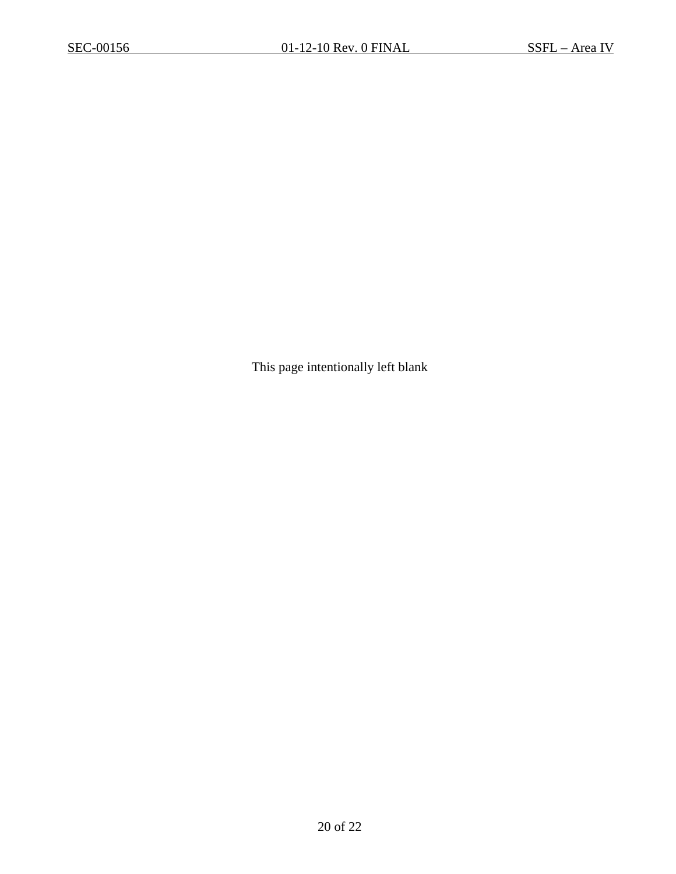This page intentionally left blank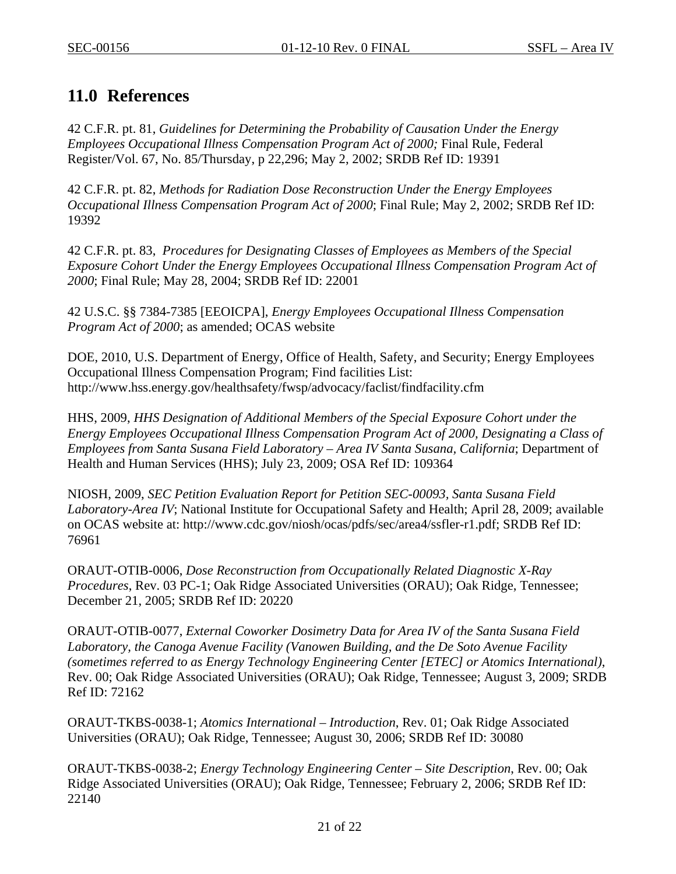## <span id="page-20-0"></span>**11.0 References**

42 C.F.R. pt. 81, *Guidelines for Determining the Probability of Causation Under the Energy Employees Occupational Illness Compensation Program Act of 2000;* Final Rule, Federal Register/Vol. 67, No. 85/Thursday, p 22,296; May 2, 2002; SRDB Ref ID: 19391

42 C.F.R. pt. 82, *Methods for Radiation Dose Reconstruction Under the Energy Employees Occupational Illness Compensation Program Act of 2000*; Final Rule; May 2, 2002; SRDB Ref ID: 19392

42 C.F.R. pt. 83, *Procedures for Designating Classes of Employees as Members of the Special Exposure Cohort Under the Energy Employees Occupational Illness Compensation Program Act of 2000*; Final Rule; May 28, 2004; SRDB Ref ID: 22001

42 U.S.C. §§ 7384-7385 [EEOICPA], *Energy Employees Occupational Illness Compensation Program Act of 2000*; as amended; OCAS website

DOE, 2010, U.S. Department of Energy, Office of Health, Safety, and Security; Energy Employees Occupational Illness Compensation Program; Find facilities List: http://www.hss.energy.gov/healthsafety/fwsp/advocacy/faclist/findfacility.cfm

HHS, 2009, *HHS Designation of Additional Members of the Special Exposure Cohort under the Energy Employees Occupational Illness Compensation Program Act of 2000, Designating a Class of Employees from Santa Susana Field Laboratory – Area IV Santa Susana, California*; Department of Health and Human Services (HHS); July 23, 2009; OSA Ref ID: 109364

NIOSH, 2009, *SEC Petition Evaluation Report for Petition SEC-00093, Santa Susana Field Laboratory-Area IV*; National Institute for Occupational Safety and Health; April 28, 2009; available on OCAS website at: http://www.cdc.gov/niosh/ocas/pdfs/sec/area4/ssfler-r1.pdf; SRDB Ref ID: 76961

ORAUT-OTIB-0006, *Dose Reconstruction from Occupationally Related Diagnostic X-Ray Procedures*, Rev. 03 PC-1; Oak Ridge Associated Universities (ORAU); Oak Ridge, Tennessee; December 21, 2005; SRDB Ref ID: 20220

ORAUT-OTIB-0077, *External Coworker Dosimetry Data for Area IV of the Santa Susana Field Laboratory, the Canoga Avenue Facility (Vanowen Building, and the De Soto Avenue Facility (sometimes referred to as Energy Technology Engineering Center [ETEC] or Atomics International)*, Rev. 00; Oak Ridge Associated Universities (ORAU); Oak Ridge, Tennessee; August 3, 2009; SRDB Ref ID: 72162

ORAUT-TKBS-0038-1; *Atomics International – Introduction*, Rev. 01; Oak Ridge Associated Universities (ORAU); Oak Ridge, Tennessee; August 30, 2006; SRDB Ref ID: 30080

ORAUT-TKBS-0038-2; *Energy Technology Engineering Center – Site Description*, Rev. 00; Oak Ridge Associated Universities (ORAU); Oak Ridge, Tennessee; February 2, 2006; SRDB Ref ID: 22140